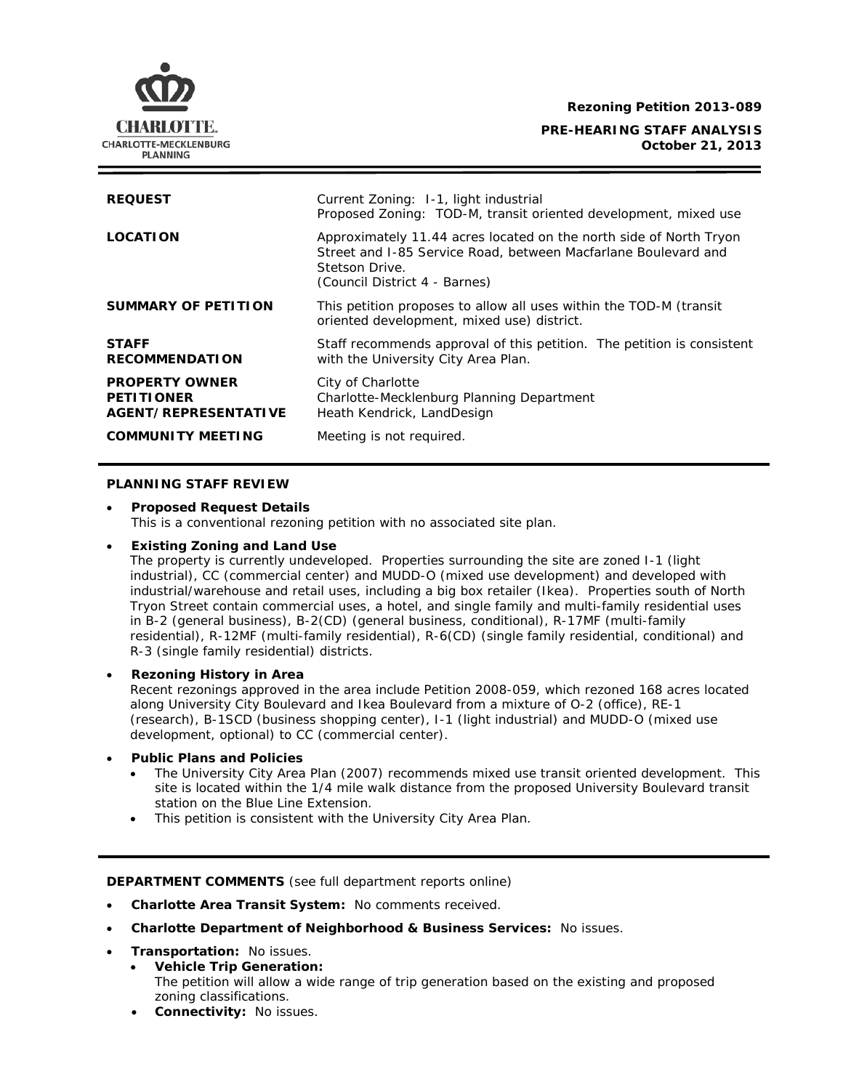**Rezoning Petition 2013-089**

### **PRE-HEARING STAFF ANALYSIS October 21, 2013**



## **PLANNING STAFF REVIEW**

CHARLOTTE. CHARLOTTE-MECKLENBURG **PLANNING** 

• **Proposed Request Details** This is a conventional rezoning petition with no associated site plan.

### • **Existing Zoning and Land Use**

The property is currently undeveloped. Properties surrounding the site are zoned I-1 (light industrial), CC (commercial center) and MUDD-O (mixed use development) and developed with industrial/warehouse and retail uses, including a big box retailer (Ikea). Properties south of North Tryon Street contain commercial uses, a hotel, and single family and multi-family residential uses in B-2 (general business), B-2(CD) (general business, conditional), R-17MF (multi-family residential), R-12MF (multi-family residential), R-6(CD) (single family residential, conditional) and R-3 (single family residential) districts.

### • **Rezoning History in Area**

Recent rezonings approved in the area include Petition 2008-059, which rezoned 168 acres located along University City Boulevard and Ikea Boulevard from a mixture of O-2 (office), RE-1 (research), B-1SCD (business shopping center), I-1 (light industrial) and MUDD-O (mixed use development, optional) to CC (commercial center).

#### • **Public Plans and Policies**

- The *University City Area Plan* (2007) recommends mixed use transit oriented development. This site is located within the 1/4 mile walk distance from the proposed University Boulevard transit station on the Blue Line Extension.
- This petition is consistent with the *University City Area Plan*.

### **DEPARTMENT COMMENTS** (see full department reports online)

- **Charlotte Area Transit System:** No comments received.
- **Charlotte Department of Neighborhood & Business Services:** No issues.
- **Transportation:** No issues.
	- **Vehicle Trip Generation:** The petition will allow a wide range of trip generation based on the existing and proposed zoning classifications.
	- **Connectivity:** No issues.